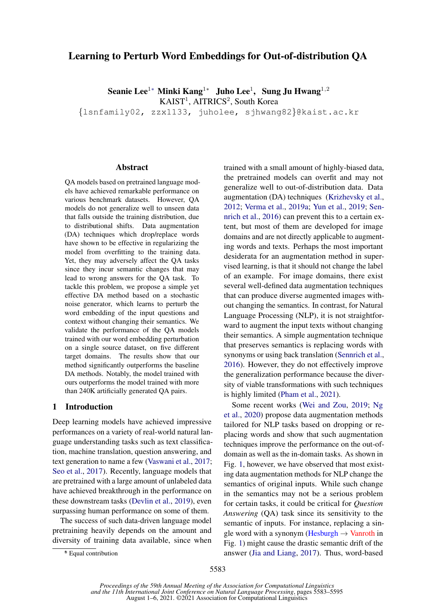# Learning to Perturb Word Embeddings for Out-of-distribution QA

Seanie Lee $^{1*}$  Minki Kang $^{1*}$  Juho Lee $^{1}$ , Sung Ju Hwang $^{1,2}$ 

KAIST<sup>1</sup>, AITRICS<sup>2</sup>, South Korea

{lsnfamily02, zzx1133, juholee, sjhwang82}@kaist.ac.kr

#### Abstract

QA models based on pretrained language models have achieved remarkable performance on various benchmark datasets. However, QA models do not generalize well to unseen data that falls outside the training distribution, due to distributional shifts. Data augmentation (DA) techniques which drop/replace words have shown to be effective in regularizing the model from overfitting to the training data. Yet, they may adversely affect the QA tasks since they incur semantic changes that may lead to wrong answers for the QA task. To tackle this problem, we propose a simple yet effective DA method based on a stochastic noise generator, which learns to perturb the word embedding of the input questions and context without changing their semantics. We validate the performance of the QA models trained with our word embedding perturbation on a single source dataset, on five different target domains. The results show that our method significantly outperforms the baseline DA methods. Notably, the model trained with ours outperforms the model trained with more than 240K artificially generated QA pairs.

### 1 Introduction

Deep learning models have achieved impressive performances on a variety of real-world natural language understanding tasks such as text classification, machine translation, question answering, and text generation to name a few [\(Vaswani et al.,](#page-9-0) [2017;](#page-9-0) [Seo et al.,](#page-9-1) [2017\)](#page-9-1). Recently, language models that are pretrained with a large amount of unlabeled data have achieved breakthrough in the performance on these downstream tasks [\(Devlin et al.,](#page-8-0) [2019\)](#page-8-0), even surpassing human performance on some of them.

The success of such data-driven language model pretraining heavily depends on the amount and diversity of training data available, since when trained with a small amount of highly-biased data, the pretrained models can overfit and may not generalize well to out-of-distribution data. Data augmentation (DA) techniques [\(Krizhevsky et al.,](#page-8-1) [2012;](#page-8-1) [Verma et al.,](#page-9-2) [2019a;](#page-9-2) [Yun et al.,](#page-9-3) [2019;](#page-9-3) [Sen](#page-9-4)[nrich et al.,](#page-9-4) [2016\)](#page-9-4) can prevent this to a certain extent, but most of them are developed for image domains and are not directly applicable to augmenting words and texts. Perhaps the most important desiderata for an augmentation method in supervised learning, is that it should not change the label of an example. For image domains, there exist several well-defined data augmentation techniques that can produce diverse augmented images without changing the semantics. In contrast, for Natural Language Processing (NLP), it is not straightforward to augment the input texts without changing their semantics. A simple augmentation technique that preserves semantics is replacing words with synonyms or using back translation [\(Sennrich et al.,](#page-9-4) [2016\)](#page-9-4). However, they do not effectively improve the generalization performance because the diversity of viable transformations with such techniques is highly limited [\(Pham et al.,](#page-9-5) [2021\)](#page-9-5).

Some recent works [\(Wei and Zou,](#page-9-6) [2019;](#page-9-6) [Ng](#page-9-7) [et al.,](#page-9-7) [2020\)](#page-9-7) propose data augmentation methods tailored for NLP tasks based on dropping or replacing words and show that such augmentation techniques improve the performance on the out-ofdomain as well as the in-domain tasks. As shown in Fig. [1,](#page-1-0) however, we have observed that most existing data augmentation methods for NLP change the semantics of original inputs. While such change in the semantics may not be a serious problem for certain tasks, it could be critical for *Question Answering* (QA) task since its sensitivity to the semantic of inputs. For instance, replacing a single word with a synonym (Hesburgh  $\rightarrow$  Vanroth in Fig. [1\)](#page-1-0) might cause the drastic semantic drift of the answer [\(Jia and Liang,](#page-8-2) [2017\)](#page-8-2). Thus, word-based

<sup>∗</sup> \* Equal contribution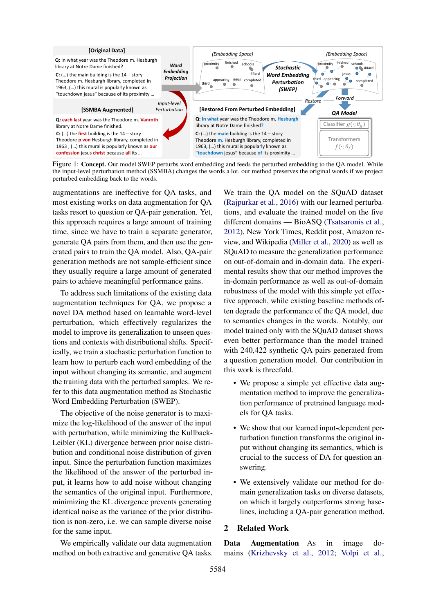<span id="page-1-0"></span>

Figure 1: Concept. Our model SWEP perturbs word embedding and feeds the perturbed embedding to the QA model. While the input-level perturbation method (SSMBA) changes the words a lot, our method preserves the original words if we project perturbed embedding back to the words.

augmentations are ineffective for QA tasks, and most existing works on data augmentation for QA tasks resort to question or QA-pair generation. Yet, this approach requires a large amount of training time, since we have to train a separate generator, generate QA pairs from them, and then use the generated pairs to train the QA model. Also, QA-pair generation methods are not sample-efficient since they usually require a large amount of generated pairs to achieve meaningful performance gains.

To address such limitations of the existing data augmentation techniques for QA, we propose a novel DA method based on learnable word-level perturbation, which effectively regularizes the model to improve its generalization to unseen questions and contexts with distributional shifts. Specifically, we train a stochastic perturbation function to learn how to perturb each word embedding of the input without changing its semantic, and augment the training data with the perturbed samples. We refer to this data augmentation method as Stochastic Word Embedding Perturbation (SWEP).

The objective of the noise generator is to maximize the log-likelihood of the answer of the input with perturbation, while minimizing the Kullback-Leibler (KL) divergence between prior noise distribution and conditional noise distribution of given input. Since the perturbation function maximizes the likelihood of the answer of the perturbed input, it learns how to add noise without changing the semantics of the original input. Furthermore, minimizing the KL divergence prevents generating identical noise as the variance of the prior distribution is non-zero, i.e. we can sample diverse noise for the same input.

We empirically validate our data augmentation method on both extractive and generative QA tasks. We train the QA model on the SQuAD dataset [\(Rajpurkar et al.,](#page-9-8) [2016\)](#page-9-8) with our learned perturbations, and evaluate the trained model on the five different domains — BioASQ [\(Tsatsaronis et al.,](#page-9-9) [2012\)](#page-9-9), New York Times, Reddit post, Amazon review, and Wikipedia [\(Miller et al.,](#page-9-10) [2020\)](#page-9-10) as well as SQuAD to measure the generalization performance on out-of-domain and in-domain data. The experimental results show that our method improves the in-domain performance as well as out-of-domain robustness of the model with this simple yet effective approach, while existing baseline methods often degrade the performance of the QA model, due to semantics changes in the words. Notably, our model trained only with the SQuAD dataset shows even better performance than the model trained with 240,422 synthetic QA pairs generated from a question generation model. Our contribution in this work is threefold.

- We propose a simple yet effective data augmentation method to improve the generalization performance of pretrained language models for QA tasks.
- We show that our learned input-dependent perturbation function transforms the original input without changing its semantics, which is crucial to the success of DA for question answering.
- We extensively validate our method for domain generalization tasks on diverse datasets, on which it largely outperforms strong baselines, including a QA-pair generation method.

# 2 Related Work

Data Augmentation As in image domains [\(Krizhevsky et al.,](#page-8-1) [2012;](#page-8-1) [Volpi et al.,](#page-9-11)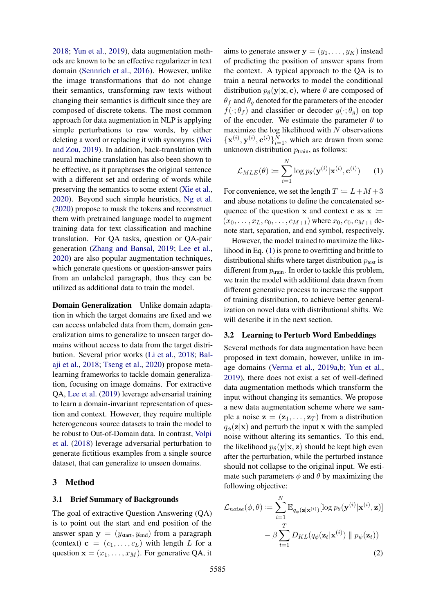[2018;](#page-9-11) [Yun et al.,](#page-9-3) [2019\)](#page-9-3), data augmentation methods are known to be an effective regularizer in text domain [\(Sennrich et al.,](#page-9-4) [2016\)](#page-9-4). However, unlike the image transformations that do not change their semantics, transforming raw texts without changing their semantics is difficult since they are composed of discrete tokens. The most common approach for data augmentation in NLP is applying simple perturbations to raw words, by either deleting a word or replacing it with synonyms [\(Wei](#page-9-6) [and Zou,](#page-9-6) [2019\)](#page-9-6). In addition, back-translation with neural machine translation has also been shown to be effective, as it paraphrases the original sentence with a different set and ordering of words while preserving the semantics to some extent [\(Xie et al.,](#page-9-12) [2020\)](#page-9-12). Beyond such simple heuristics, [Ng et al.](#page-9-7) [\(2020\)](#page-9-7) propose to mask the tokens and reconstruct them with pretrained language model to augment training data for text classification and machine translation. For QA tasks, question or QA-pair generation [\(Zhang and Bansal,](#page-9-13) [2019;](#page-9-13) [Lee et al.,](#page-8-3) [2020\)](#page-8-3) are also popular augmentation techniques, which generate questions or question-answer pairs from an unlabeled paragraph, thus they can be utilized as additional data to train the model.

Domain Generalization Unlike domain adaptation in which the target domains are fixed and we can access unlabeled data from them, domain generalization aims to generalize to unseen target domains without access to data from the target distribution. Several prior works [\(Li et al.,](#page-8-4) [2018;](#page-8-4) [Bal](#page-8-5)[aji et al.,](#page-8-5) [2018;](#page-8-5) [Tseng et al.,](#page-9-14) [2020\)](#page-9-14) propose metalearning frameworks to tackle domain generalization, focusing on image domains. For extractive QA, [Lee et al.](#page-8-6) [\(2019\)](#page-8-6) leverage adversarial training to learn a domain-invariant representation of question and context. However, they require multiple heterogeneous source datasets to train the model to be robust to Out-of-Domain data. In contrast, [Volpi](#page-9-11) [et al.](#page-9-11) [\(2018\)](#page-9-11) leverage adversarial perturbation to generate fictitious examples from a single source dataset, that can generalize to unseen domains.

# 3 Method

# 3.1 Brief Summary of Backgrounds

The goal of extractive Question Answering (QA) is to point out the start and end position of the answer span  $y = (y_{start}, y_{end})$  from a paragraph (context)  $\mathbf{c} = (c_1, \dots, c_L)$  with length L for a question  $\mathbf{x} = (x_1, \dots, x_M)$ . For generative QA, it

aims to generate answer  $y = (y_1, \dots, y_K)$  instead of predicting the position of answer spans from the context. A typical approach to the QA is to train a neural networks to model the conditional distribution  $p_{\theta}(\mathbf{y}|\mathbf{x}, \mathbf{c})$ , where  $\theta$  are composed of  $\theta_f$  and  $\theta_q$  denoted for the parameters of the encoder  $f(\cdot; \theta_f)$  and classifier or decoder  $g(\cdot; \theta_q)$  on top of the encoder. We estimate the parameter  $\theta$  to maximize the log likelihood with  $N$  observations  $\{x^{(i)}, y^{(i)}, c^{(i)}\}_{i=1}^N$ , which are drawn from some unknown distribution  $p_{\text{train}}$ , as follows:

<span id="page-2-0"></span>
$$
\mathcal{L}_{MLE}(\theta) \coloneqq \sum_{i=1}^{N} \log p_{\theta}(\mathbf{y}^{(i)} | \mathbf{x}^{(i)}, \mathbf{c}^{(i)}) \qquad (1)
$$

For convenience, we set the length  $T := L + M + 3$ and abuse notations to define the concatenated sequence of the question x and context c as  $x :=$  $(x_0, \ldots, x_L, c_0, \ldots, c_{M+1})$  where  $x_0, c_0, c_{M+1}$  denote start, separation, and end symbol, respectively.

However, the model trained to maximize the likelihood in Eq. [\(1\)](#page-2-0) is prone to overfitting and brittle to distributional shifts where target distribution  $p_{test}$  is different from  $p_{\text{train}}$ . In order to tackle this problem, we train the model with additional data drawn from different generative process to increase the support of training distribution, to achieve better generalization on novel data with distributional shifts. We will describe it in the next section.

#### <span id="page-2-2"></span>3.2 Learning to Perturb Word Embeddings

Several methods for data augmentation have been proposed in text domain, however, unlike in image domains [\(Verma et al.,](#page-9-2) [2019a](#page-9-2)[,b;](#page-9-15) [Yun et al.,](#page-9-3) [2019\)](#page-9-3), there does not exist a set of well-defined data augmentation methods which transform the input without changing its semantics. We propose a new data augmentation scheme where we sample a noise  $z = (z_1, \ldots, z_T)$  from a distribution  $q_{\phi}(\mathbf{z}|\mathbf{x})$  and perturb the input x with the sampled noise without altering its semantics. To this end, the likelihood  $p_{\theta}(\mathbf{y}|\mathbf{x}, \mathbf{z})$  should be kept high even after the perturbation, while the perturbed instance should not collapse to the original input. We estimate such parameters  $\phi$  and  $\theta$  by maximizing the following objective:

<span id="page-2-1"></span>
$$
\mathcal{L}_{noise}(\phi, \theta) := \sum_{i=1}^{N} \mathbb{E}_{q_{\phi}(\mathbf{z}|\mathbf{x}^{(i)})} [\log p_{\theta}(\mathbf{y}^{(i)}|\mathbf{x}^{(i)}, \mathbf{z})]
$$

$$
- \beta \sum_{t=1}^{T} D_{KL}(q_{\phi}(\mathbf{z}_t|\mathbf{x}^{(i)}) \parallel p_{\psi}(\mathbf{z}_t))
$$
(2)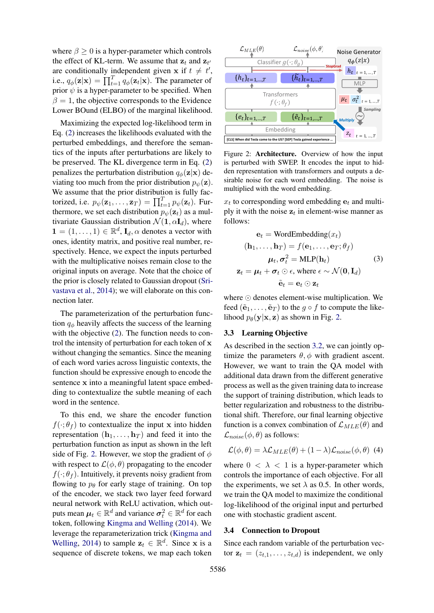where  $\beta > 0$  is a hyper-parameter which controls the effect of KL-term. We assume that  $z_t$  and  $z_{t'}$ are conditionally independent given x if  $t \neq t'$ , i.e.,  $q_{\phi}(\mathbf{z}|\mathbf{x}) = \prod_{t=1}^{T} q_{\phi}(\mathbf{z}_t|\mathbf{x})$ . The parameter of prior  $\psi$  is a hyper-parameter to be specified. When  $\beta = 1$ , the objective corresponds to the Evidence Lower BOund (ELBO) of the marginal likelihood.

Maximizing the expected log-likelihood term in Eq. [\(2\)](#page-2-1) increases the likelihoods evaluated with the perturbed embeddings, and therefore the semantics of the inputs after perturbations are likely to be preserved. The KL divergence term in Eq. [\(2\)](#page-2-1) penalizes the perturbation distribution  $q_{\phi}(\mathbf{z}|\mathbf{x})$  deviating too much from the prior distribution  $p_{\psi}(\mathbf{z})$ . We assume that the prior distribution is fully factorized, i.e.  $p_{\psi}(\mathbf{z}_1, \dots, \mathbf{z}_T) = \prod_{t=1}^T p_{\psi}(\mathbf{z}_t)$ . Furthermore, we set each distribution  $p_{\psi}(\mathbf{z}_t)$  as a multivariate Gaussian distribution  $\mathcal{N}(1, \alpha I_d)$ , where  $\mathbf{1} = (1, \dots, 1) \in \mathbb{R}^d$ ,  $\mathbf{I}_d$ ,  $\alpha$  denotes a vector with ones, identity matrix, and positive real number, respectively. Hence, we expect the inputs perturbed with the multiplicative noises remain close to the original inputs on average. Note that the choice of the prior is closely related to Gaussian dropout [\(Sri](#page-9-16)[vastava et al.,](#page-9-16) [2014\)](#page-9-16); we will elaborate on this connection later.

The parameterization of the perturbation function  $q_{\phi}$  heavily affects the success of the learning with the objective [\(2\)](#page-2-1). The function needs to control the intensity of perturbation for each token of x without changing the semantics. Since the meaning of each word varies across linguistic contexts, the function should be expressive enough to encode the sentence x into a meaningful latent space embedding to contextualize the subtle meaning of each word in the sentence.

To this end, we share the encoder function  $f(\cdot; \theta_f)$  to contextualize the input x into hidden representation  $(h_1, \ldots, h_T)$  and feed it into the perturbation function as input as shown in the left side of Fig. [2.](#page-3-0) However, we stop the gradient of  $\phi$ with respect to  $\mathcal{L}(\phi, \theta)$  propagating to the encoder  $f(\cdot; \theta_f)$ . Intuitively, it prevents noisy gradient from flowing to  $p_\theta$  for early stage of training. On top of the encoder, we stack two layer feed forward neural network with ReLU activation, which outputs mean  $\mu_t \in \mathbb{R}^d$  and variance  $\sigma_t^2 \in \mathbb{R}^d$  for each token, following [Kingma and Welling](#page-8-7) [\(2014\)](#page-8-7). We leverage the reparameterization trick [\(Kingma and](#page-8-7) [Welling,](#page-8-7) [2014\)](#page-8-7) to sample  $z_t \in \mathbb{R}^d$ . Since x is a sequence of discrete tokens, we map each token

<span id="page-3-0"></span>

Figure 2: Architecture. Overview of how the input is perturbed with SWEP. It encodes the input to hidden representation with transformers and outputs a desirable noise for each word embedding. The noise is multiplied with the word embedding.

 $x_t$  to corresponding word embedding  $e_t$  and multiply it with the noise  $z_t$  in element-wise manner as follows:

<span id="page-3-1"></span>
$$
\mathbf{e}_t = \text{WordEmbedding}(x_t)
$$
  
\n
$$
(\mathbf{h}_1, \dots, \mathbf{h}_T) = f(\mathbf{e}_1, \dots, \mathbf{e}_T; \theta_f)
$$
  
\n
$$
\boldsymbol{\mu}_t, \sigma_t^2 = \text{MLP}(\mathbf{h}_t)
$$
  
\n
$$
\mathbf{z}_t = \boldsymbol{\mu}_t + \boldsymbol{\sigma}_t \odot \boldsymbol{\epsilon}, \text{ where } \boldsymbol{\epsilon} \sim \mathcal{N}(\mathbf{0}, \mathbf{I}_d)
$$
  
\n
$$
\tilde{\mathbf{e}}_t = \mathbf{e}_t \odot \mathbf{z}_t
$$

where  $\odot$  denotes element-wise multiplication. We feed  $(\tilde{e}_1, \ldots, \tilde{e}_T)$  to the  $g \circ f$  to compute the likelihood  $p_{\theta}(\mathbf{y}|\mathbf{x}, \mathbf{z})$  as shown in Fig. [2.](#page-3-0)

# 3.3 Learning Objective

As described in the section [3.2,](#page-2-2) we can jointly optimize the parameters  $\theta$ ,  $\phi$  with gradient ascent. However, we want to train the QA model with additional data drawn from the different generative process as well as the given training data to increase the support of training distribution, which leads to better regularization and robustness to the distributional shift. Therefore, our final learning objective function is a convex combination of  $\mathcal{L}_{MLE}(\theta)$  and  $\mathcal{L}_{noise}(\phi, \theta)$  as follows:

<span id="page-3-2"></span>
$$
\mathcal{L}(\phi,\theta) = \lambda \mathcal{L}_{MLE}(\theta) + (1-\lambda)\mathcal{L}_{noise}(\phi,\theta)
$$
 (4)

where  $0 < \lambda < 1$  is a hyper-parameter which controls the importance of each objective. For all the experiments, we set  $\lambda$  as 0.5. In other words, we train the QA model to maximize the conditional log-likelihood of the original input and perturbed one with stochastic gradient ascent.

# 3.4 Connection to Dropout

Since each random variable of the perturbation vector  $z_t = (z_{t,1}, \ldots, z_{t,d})$  is independent, we only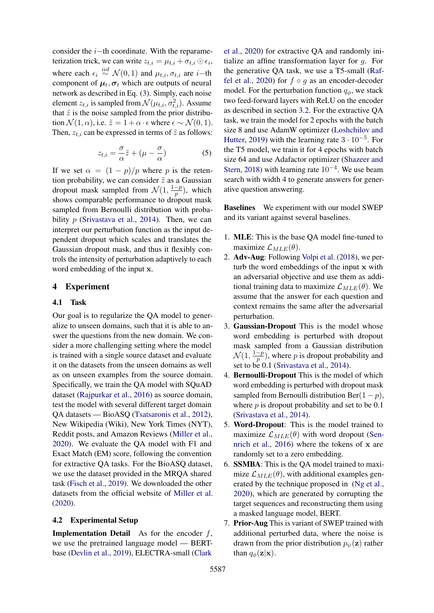consider the i−th coordinate. With the reparameterization trick, we can write  $z_{t,i} = \mu_{t,i} + \sigma_{t,i} \odot \epsilon_i$ , where each  $\epsilon_i \stackrel{iid}{\sim} \mathcal{N}(0, 1)$  and  $\mu_{t,i}, \sigma_{t,i}$  are *i*−th component of  $\mu_t, \sigma_t$  which are outputs of neural network as described in Eq. [\(3\)](#page-3-1). Simply, each noise element  $z_{t,i}$  is sampled from  $\mathcal{N}(\mu_{t,i}, \sigma_{t,i}^2)$ . Assume that  $\tilde{z}$  is the noise sampled from the prior distribution  $\mathcal{N}(1, \alpha)$ , i.e.  $\tilde{z} = 1 + \alpha \cdot \epsilon$  where  $\epsilon \sim \mathcal{N}(0, 1)$ . Then,  $z_{t,i}$  can be expressed in terms of  $\tilde{z}$  as follows:

$$
z_{t,i} = \frac{\sigma}{\alpha}\tilde{z} + (\mu - \frac{\sigma}{\alpha})
$$
 (5)

If we set  $\alpha = (1 - p)/p$  where p is the retention probability, we can consider  $\tilde{z}$  as a Gaussian dropout mask sampled from  $\mathcal{N}(1, \frac{1-p}{n})$  $\frac{-p}{p}$ ), which shows comparable performance to dropout mask sampled from Bernoulli distribution with probability  $p$  [\(Srivastava et al.,](#page-9-16) [2014\)](#page-9-16). Then, we can interpret our perturbation function as the input dependent dropout which scales and translates the Gaussian dropout mask, and thus it flexibly controls the intensity of perturbation adaptively to each word embedding of the input x.

### 4 Experiment

#### <span id="page-4-0"></span>4.1 Task

Our goal is to regularize the QA model to generalize to unseen domains, such that it is able to answer the questions from the new domain. We consider a more challenging setting where the model is trained with a single source dataset and evaluate it on the datasets from the unseen domains as well as on unseen examples from the source domain. Specifically, we train the QA model with SQuAD dataset [\(Rajpurkar et al.,](#page-9-8) [2016\)](#page-9-8) as source domain, test the model with several different target domain QA datasets — BioASQ [\(Tsatsaronis et al.,](#page-9-9) [2012\)](#page-9-9), New Wikipedia (Wiki), New York Times (NYT), Reddit posts, and Amazon Reviews [\(Miller et al.,](#page-9-10) [2020\)](#page-9-10). We evaluate the QA model with F1 and Exact Match (EM) score, following the convention for extractive QA tasks. For the BioASQ dataset, we use the dataset provided in the MRQA shared task [\(Fisch et al.,](#page-8-8) [2019\)](#page-8-8). We downloaded the other datasets from the official website of [Miller et al.](#page-9-10) [\(2020\)](#page-9-10).

### 4.2 Experimental Setup

<span id="page-4-1"></span>**Implementation Detail** As for the encoder  $f$ , we use the pretrained language model — BERTbase [\(Devlin et al.,](#page-8-0) [2019\)](#page-8-0), ELECTRA-small [\(Clark](#page-8-9)

[et al.,](#page-8-9) [2020\)](#page-8-9) for extractive QA and randomly initialize an affine transformation layer for g. For the generative QA task, we use a T5-small [\(Raf](#page-9-17)[fel et al.,](#page-9-17) [2020\)](#page-9-17) for  $f \circ g$  as an encoder-decoder model. For the perturbation function  $q_{\phi}$ , we stack two feed-forward layers with ReLU on the encoder as described in section [3.2.](#page-2-2) For the extractive QA task, we train the model for 2 epochs with the batch size 8 and use AdamW optimizer [\(Loshchilov and](#page-8-10) [Hutter,](#page-8-10) [2019\)](#page-8-10) with the learning rate  $3 \cdot 10^{-5}$ . For the T5 model, we train it for 4 epochs with batch size 64 and use Adafactor optimizer [\(Shazeer and](#page-9-18) [Stern,](#page-9-18) [2018\)](#page-9-18) with learning rate  $10^{-4}$ . We use beam search with width 4 to generate answers for generative question answering.

Baselines We experiment with our model SWEP and its variant against several baselines.

- 1. MLE: This is the base QA model fine-tuned to maximize  $\mathcal{L}_{MLE}(\theta)$ .
- 2. Adv-Aug: Following [Volpi et al.](#page-9-11) [\(2018\)](#page-9-11), we perturb the word embeddings of the input x with an adversarial objective and use them as additional training data to maximize  $\mathcal{L}_{MLE}(\theta)$ . We assume that the answer for each question and context remains the same after the adversarial perturbation.
- 3. Gaussian-Dropout This is the model whose word embedding is perturbed with dropout mask sampled from a Gaussian distribution  $\mathcal{N}(1, \frac{1-p}{n})$  $\frac{-p}{p}$ ), where p is dropout probability and set to be 0.1 [\(Srivastava et al.,](#page-9-16) [2014\)](#page-9-16).
- 4. Bernoulli-Dropout This is the model of which word embedding is perturbed with dropout mask sampled from Bernoulli distribution Ber $(1 - p)$ , where  $p$  is dropout probability and set to be 0.1 [\(Srivastava et al.,](#page-9-16) [2014\)](#page-9-16).
- 5. Word-Dropout: This is the model trained to maximize  $\mathcal{L}_{MLE}(\theta)$  with word dropout [\(Sen](#page-9-4)[nrich et al.,](#page-9-4) [2016\)](#page-9-4) where the tokens of x are randomly set to a zero embedding.
- 6. SSMBA: This is the QA model trained to maximize  $\mathcal{L}_{MLE}(\theta)$ , with additional examples generated by the technique proposed in [\(Ng et al.,](#page-9-7) [2020\)](#page-9-7), which are generated by corrupting the target sequences and reconstructing them using a masked language model, BERT.
- 7. Prior-Aug This is variant of SWEP trained with additional perturbed data, where the noise is drawn from the prior distribution  $p_{\psi}(\mathbf{z})$  rather than  $q_{\phi}(\mathbf{z}|\mathbf{x})$ .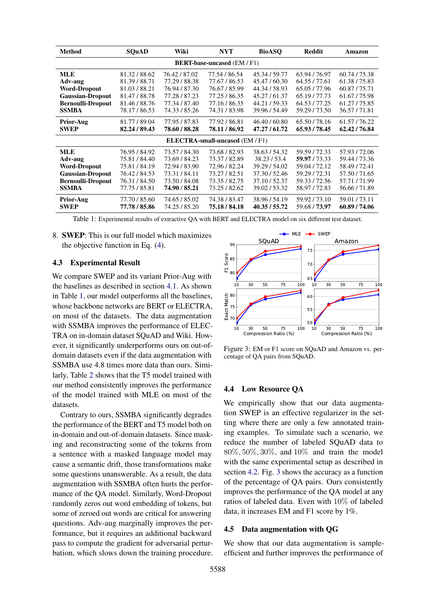<span id="page-5-0"></span>

| <b>Method</b>                          | <b>SOuAD</b>  | Wiki          | NYT           | <b>BioASQ</b> | <b>Reddit</b> | Amazon        |  |
|----------------------------------------|---------------|---------------|---------------|---------------|---------------|---------------|--|
| <b>BERT-base-uncased (EM / F1)</b>     |               |               |               |               |               |               |  |
| <b>MLE</b>                             | 81.32/88.62   | 76.42 / 87.02 | 77.54 / 86.54 | 45.34 / 59.77 | 63.94 / 76.97 | 60.74 / 75.38 |  |
| Adv-aug                                | 81.39/88.71   | 77.29 / 88.38 | 77.67 / 86.53 | 45.47 / 60.30 | 64.55 / 77.61 | 61.38/75.83   |  |
| <b>Word-Dropout</b>                    | 81.03/88.21   | 76.94 / 87.30 | 76.67 / 85.99 | 44.34 / 58.93 | 65.05 / 77.96 | 60.87/75.71   |  |
| <b>Gaussian-Dropout</b>                | 81.47/88.78   | 77.28 / 87.23 | 77.25 / 86.35 | 45.27/61.37   | 65.19 / 77.73 | 61.67/75.98   |  |
| <b>Bernoulli-Dropout</b>               | 81.46/88.76   | 77.34 / 87.40 | 77.16 / 86.35 | 44.21/59.33   | 64.53 / 77.25 | 61.27/75.85   |  |
| <b>SSMBA</b>                           | 78.17/86.53   | 74.33 / 85.26 | 74.31/83.98   | 39.96 / 54.49 | 59.29 / 73.50 | 56.57/71.81   |  |
| <b>Prior-Aug</b>                       | 81.77 / 89.04 | 77.95 / 87.83 | 77.92 / 86.81 | 46.40/60.80   | 65.50/78.16   | 61.57/76.22   |  |
| <b>SWEP</b>                            | 82.24/89.43   | 78.60 / 88.28 | 78.11/86.92   | 47.27 / 61.72 | 65.93 / 78.45 | 62.42/76.84   |  |
| <b>ELECTRA-small-uncased</b> (EM / F1) |               |               |               |               |               |               |  |
| <b>MLE</b>                             | 76.95 / 84.92 | 73.57 / 84.30 | 73.68 / 82.93 | 38.63/54.32   | 59.59 / 72.33 | 57.93 / 72.06 |  |
| Adv-aug                                | 75.81/84.40   | 73.69 / 84.23 | 73.37/82.89   | 38.23/53.4    | 59.97 / 73.33 | 59.44 / 73.36 |  |
| <b>Word-Dropout</b>                    | 75.81/84.19   | 72.94 / 83.90 | 72.96 / 82.24 | 39.29 / 54.02 | 59.04 / 72.12 | 58.49 / 72.41 |  |
| <b>Gaussian-Dropout</b>                | 76.42/84.53   | 73.31/84.11   | 73.27 / 82.51 | 37.30/52.46   | 59.29 / 72.31 | 57.50/71.65   |  |
| <b>Bernoulli-Dropout</b>               | 76.31/84.50   | 73.50 / 84.08 | 73.35 / 82.75 | 37.10/52.37   | 59.33 / 72.56 | 57.71/71.99   |  |
| <b>SSMBA</b>                           | 77.75 / 85.81 | 74.90 / 85.21 | 73.25 / 82.62 | 39.02/53.32   | 58.97 / 72.83 | 56.66/71.89   |  |
| <b>Prior-Aug</b>                       | 77.70 / 85.60 | 74.65 / 85.02 | 74.38 / 83.47 | 38.96 / 54.19 | 59.92/73.10   | 59.01/73.11   |  |
| <b>SWEP</b>                            | 77.78 / 85.86 | 74.25 / 85.20 | 75.18 / 84.18 | 40.35 / 55.72 | 59.68 / 73.97 | 60.89 / 74.06 |  |

Table 1: Experimental results of extractive QA with BERT and ELECTRA model on six different test dataset.

8. SWEP: This is our full model which maximizes the objective function in Eq. [\(4\)](#page-3-2).

#### 4.3 Experimental Result

We compare SWEP and its variant Prior-Aug with the baselines as described in section [4.1.](#page-4-0) As shown in Table [1,](#page-5-0) our model outperforms all the baselines, whose backbone networks are BERT or ELECTRA, on most of the datasets. The data augmentation with SSMBA improves the performance of ELEC-TRA on in-domain dataset SQuAD and Wiki. However, it significantly underperforms ours on out-ofdomain datasets even if the data augmentation with SSMBA use 4.8 times more data than ours. Similarly, Table [2](#page-6-0) shows that the T5 model trained with our method consistently improves the performance of the model trained with MLE on most of the datasets.

Contrary to ours, SSMBA significantly degrades the performance of the BERT and T5 model both on in-domain and out-of-domain datasets. Since masking and reconstructing some of the tokens from a sentence with a masked language model may cause a semantic drift, those transformations make some questions unanswerable. As a result, the data augmentation with SSMBA often hurts the performance of the QA model. Similarly, Word-Dropout randomly zeros out word embedding of tokens, but some of zeroed out words are critical for answering questions. Adv-aug marginally improves the performance, but it requires an additional backward pass to compute the gradient for adversarial perturbation, which slows down the training procedure.

<span id="page-5-1"></span>

Figure 3: EM or F1 score on SQuAD and Amazon vs. percentage of QA pairs from SQuAD.

# 4.4 Low Resource QA

We empirically show that our data augmentation SWEP is an effective regularizer in the setting where there are only a few annotated training examples. To simulate such a scenario, we reduce the number of labeled SQuAD data to 80%, 50%, 30%, and 10% and train the model with the same experimental setup as described in section [4.2.](#page-4-1) Fig. [3](#page-5-1) shows the accuracy as a function of the percentage of QA pairs. Ours consistently improves the performance of the QA model at any ratios of labeled data. Even with 10% of labeled data, it increases EM and F1 score by 1%.

#### 4.5 Data augmentation with QG

We show that our data augmentation is sampleefficient and further improves the performance of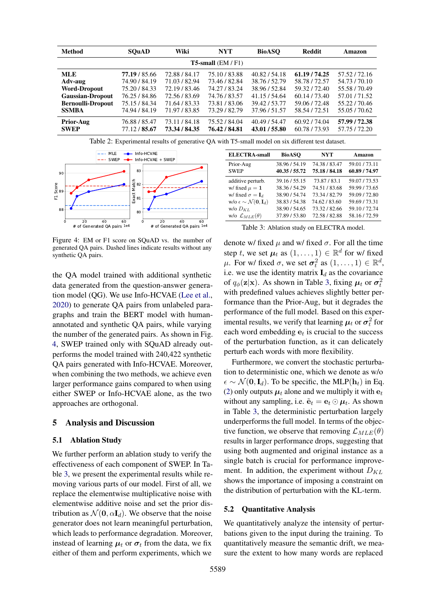<span id="page-6-0"></span>

| Method                      | <b>SOuAD</b>  | Wiki          | <b>NYT</b>    | <b>BioASO</b> | <b>Reddit</b> | Amazon        |  |
|-----------------------------|---------------|---------------|---------------|---------------|---------------|---------------|--|
| <b>T5-small</b> $(EM / F1)$ |               |               |               |               |               |               |  |
| <b>MLE</b>                  | 77.19 / 85.66 | 72.88 / 84.17 | 75.10/83.88   | 40.82/54.18   | 61.19 / 74.25 | 57.52/72.16   |  |
| Adv-aug                     | 74.90 / 84.19 | 71.03/82.94   | 73.46 / 82.84 | 38.76 / 52.79 | 58.78 / 72.57 | 54.73 / 70.10 |  |
| <b>Word-Dropout</b>         | 75.20 / 84.33 | 72.19 / 83.46 | 74.27 / 83.24 | 38.96 / 52.84 | 59.32/72.40   | 55.58 / 70.49 |  |
| <b>Gaussian-Dropout</b>     | 76.25 / 84.86 | 72.56 / 83.69 | 74.76 / 83.57 | 41.15 / 54.64 | 60.14/73.40   | 57.01 / 71.52 |  |
| <b>Bernoulli-Dropout</b>    | 75.15 / 84.34 | 71.64 / 83.33 | 73.81/83.06   | 39.42 / 53.77 | 59.06 / 72.48 | 55.22/70.46   |  |
| <b>SSMBA</b>                | 74.94 / 84.19 | 71.97 / 83.85 | 73.29 / 82.79 | 37.96 / 51.57 | 58.54 / 72.51 | 55.05 / 70.62 |  |
| <b>Prior-Aug</b>            | 76.88 / 85.47 | 73.11/84.18   | 75.52 / 84.04 | 40.49 / 54.47 | 60.92 / 74.04 | 57.99 / 72.38 |  |
| <b>SWEP</b>                 | 77.12 / 85.67 | 73.34 / 84.35 | 76.42 / 84.81 | 43.01 / 55.80 | 60.78 / 73.93 | 57.75 / 72.20 |  |

Table 2: Experimental results of generative QA with T5-small model on six different test dataset.

<span id="page-6-1"></span>

Figure 4: EM or F1 score on SQuAD vs. the number of generated QA pairs. Dashed lines indicate results without any synthetic QA pairs.

the QA model trained with additional synthetic data generated from the question-answer generation model (QG). We use Info-HCVAE [\(Lee et al.,](#page-8-3) [2020\)](#page-8-3) to generate QA pairs from unlabeled paragraphs and train the BERT model with humanannotated and synthetic QA pairs, while varying the number of the generated pairs. As shown in Fig. [4,](#page-6-1) SWEP trained only with SQuAD already outperforms the model trained with 240,422 synthetic QA pairs generated with Info-HCVAE. Moreover, when combining the two methods, we achieve even larger performance gains compared to when using either SWEP or Info-HCVAE alone, as the two approaches are orthogonal.

# 5 Analysis and Discussion

#### 5.1 Ablation Study

We further perform an ablation study to verify the effectiveness of each component of SWEP. In Table [3,](#page-6-2) we present the experimental results while removing various parts of our model. First of all, we replace the elementwise multiplicative noise with elementwise additive noise and set the prior distribution as  $\mathcal{N}(\mathbf{0}, \alpha \mathbf{I}_d)$ . We observe that the noise generator does not learn meaningful perturbation, which leads to performance degradation. Moreover, instead of learning  $\mu_t$  or  $\sigma_t$  from the data, we fix either of them and perform experiments, which we

<span id="page-6-2"></span>

| <b>ELECTRA-small</b>                                      | <b>BioASO</b>                  | NYT                            | Amazon                       |
|-----------------------------------------------------------|--------------------------------|--------------------------------|------------------------------|
| Prior-Aug<br><b>SWEP</b>                                  | 38.96 / 54.19<br>40.35 / 55.72 | 74.38 / 83.47<br>75.18 / 84.18 | 59.01/73.11<br>60.89 / 74.97 |
|                                                           |                                |                                |                              |
| additive perturb.                                         | 39.16 / 55.15                  | 73.87/83.1                     | 59.07 / 73.53                |
| w/ fixed $\mu = 1$                                        | 38.36/54.29                    | 74.51/83.68                    | 59.99 / 73.65                |
| w/ fixed $\sigma = I_d$                                   | 38.90/54.74                    | 73.34 / 82.79                  | 59.09 / 72.80                |
| w/o $\epsilon \sim \mathcal{N}(\mathbf{0}, \mathbf{I}_d)$ | 38.83/54.38                    | 74.62/83.60                    | 59.69 / 73.31                |
| $W/O$ $D_{KL}$                                            | 38.90/54.65                    | 73.32/82.66                    | 59.10/72.74                  |
| w/o $\mathcal{L}_{MLE}(\theta)$                           | 37.89 / 53.80                  | 72.58 / 82.88                  | 58.16/72.59                  |

| Table 3: Ablation study on ELECTRA model. |
|-------------------------------------------|
|-------------------------------------------|

denote w/ fixed  $\mu$  and w/ fixed  $\sigma$ . For all the time step t, we set  $\mu_t$  as  $(1, \ldots, 1) \in \mathbb{R}^d$  for w/ fixed  $\mu$ . For w/ fixed σ, we set  $\sigma_t^2$  as  $(1, \ldots, 1) \in \mathbb{R}^d$ , i.e. we use the identity matrix  $I_d$  as the covariance of  $q_{\phi}(\mathbf{z}|\mathbf{x})$ . As shown in Table [3,](#page-6-2) fixing  $\mu_t$  or  $\sigma_t^2$ with predefined values achieves slightly better performance than the Prior-Aug, but it degrades the performance of the full model. Based on this experimental results, we verify that learning  $\mu_t$  or  $\sigma_t^2$  for each word embedding  $e_t$  is crucial to the success of the perturbation function, as it can delicately perturb each words with more flexibility.

Furthermore, we convert the stochastic perturbation to deterministic one, which we denote as w/o  $\epsilon \sim \mathcal{N}(\mathbf{0}, \mathbf{I}_d)$ . To be specific, the MLP( $\mathbf{h}_t$ ) in Eq. [\(2\)](#page-2-1) only outputs  $\mu_t$  alone and we multiply it with  $e_t$ without any sampling, i.e.  $\tilde{\mathbf{e}}_t = \mathbf{e}_t \odot \boldsymbol{\mu}_t$ . As shown in Table [3,](#page-6-2) the deterministic perturbation largely underperforms the full model. In terms of the objective function, we observe that removing  $\mathcal{L}_{MLE}(\theta)$ results in larger performance drops, suggesting that using both augmented and original instance as a single batch is crucial for performance improvement. In addition, the experiment without  $D_{KL}$ shows the importance of imposing a constraint on the distribution of perturbation with the KL-term.

#### 5.2 Quantitative Analysis

We quantitatively analyze the intensity of perturbations given to the input during the training. To quantitatively measure the semantic drift, we measure the extent to how many words are replaced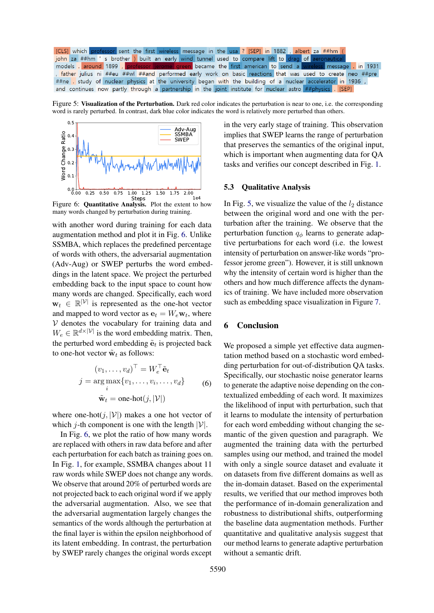<span id="page-7-1"></span>[CLS] which professor sent the first wireless message in the usa ? [SEP] in 1882, albert za ##hm I john za ##hm 's brother ) built an early wind tunnel used to compare lift to drag of aerc message in 1931 models . around 1899 became the first american to send a father julius ni ##eu ##wl ##and performed early work on basic reactions that was used to create neo ##pre ##ne study of nuclear physics at the university began with the building of a nuclear accelerator in 1936, and continues now partly through a partnership in the joint institute for nuclear astro ##physics  $\sqrt{SEP}$ 

Figure 5: Visualization of the Perturbation. Dark red color indicates the perturbation is near to one, i.e. the corresponding word is rarely perturbed. In contrast, dark blue color indicates the word is relatively more perturbed than others.

<span id="page-7-0"></span>

<sup>51eps</sup><br>Figure 6: **Quantitative Analysis.** Plot the extent to how many words changed by perturbation during training.

with another word during training for each data augmentation method and plot it in Fig. [6.](#page-7-0) Unlike SSMBA, which replaces the predefined percentage of words with others, the adversarial augmentation (Adv-Aug) or SWEP perturbs the word embeddings in the latent space. We project the perturbed embedding back to the input space to count how many words are changed. Specifically, each word  $\mathbf{w}_t \in \mathbb{R}^{|\mathcal{V}|}$  is represented as the one-hot vector and mapped to word vector as  $\mathbf{e}_t = W_e \mathbf{w}_t$ , where  $V$  denotes the vocabulary for training data and  $W_e \in \mathbb{R}^{d \times |\mathcal{V}|}$  is the word embedding matrix. Then, the perturbed word embedding  $\tilde{\mathbf{e}}_t$  is projected back to one-hot vector  $\tilde{\mathbf{w}}_t$  as follows:

$$
(v_1, \dots, v_d)^\top = W_e^\top \tilde{\mathbf{e}}_t
$$
  

$$
j = \underset{i}{\arg \max} \{v_1, \dots, v_i, \dots, v_d\}
$$
  

$$
\tilde{\mathbf{w}}_t = \text{one-hot}(j, |\mathcal{V}|)
$$
 (6)

where one-hot $(j, |\mathcal{V}|)$  makes a one hot vector of which *j*-th component is one with the length  $|V|$ .

In Fig. [6,](#page-7-0) we plot the ratio of how many words are replaced with others in raw data before and after each perturbation for each batch as training goes on. In Fig. [1,](#page-1-0) for example, SSMBA changes about 11 raw words while SWEP does not change any words. We observe that around 20% of perturbed words are not projected back to each original word if we apply the adversarial augmentation. Also, we see that the adversarial augmentation largely changes the semantics of the words although the perturbation at the final layer is within the epsilon neighborhood of its latent embedding. In contrast, the perturbation by SWEP rarely changes the original words except

in the very early stage of training. This observation implies that SWEP learns the range of perturbation that preserves the semantics of the original input, which is important when augmenting data for QA tasks and verifies our concept described in Fig. [1.](#page-1-0)

### 5.3 Qualitative Analysis

In Fig. [5,](#page-7-1) we visualize the value of the  $l_2$  distance between the original word and one with the perturbation after the training. We observe that the perturbation function  $q_{\phi}$  learns to generate adaptive perturbations for each word (i.e. the lowest intensity of perturbation on answer-like words "professor jerome green"). However, it is still unknown why the intensity of certain word is higher than the others and how much difference affects the dynamics of training. We have included more observation such as embedding space visualization in Figure [7.](#page-12-0)

# 6 Conclusion

We proposed a simple yet effective data augmentation method based on a stochastic word embedding perturbation for out-of-distribution QA tasks. Specifically, our stochastic noise generator learns to generate the adaptive noise depending on the contextualized embedding of each word. It maximizes the likelihood of input with perturbation, such that it learns to modulate the intensity of perturbation for each word embedding without changing the semantic of the given question and paragraph. We augmented the training data with the perturbed samples using our method, and trained the model with only a single source dataset and evaluate it on datasets from five different domains as well as the in-domain dataset. Based on the experimental results, we verified that our method improves both the performance of in-domain generalization and robustness to distributional shifts, outperforming the baseline data augmentation methods. Further quantitative and qualitative analysis suggest that our method learns to generate adaptive perturbation without a semantic drift.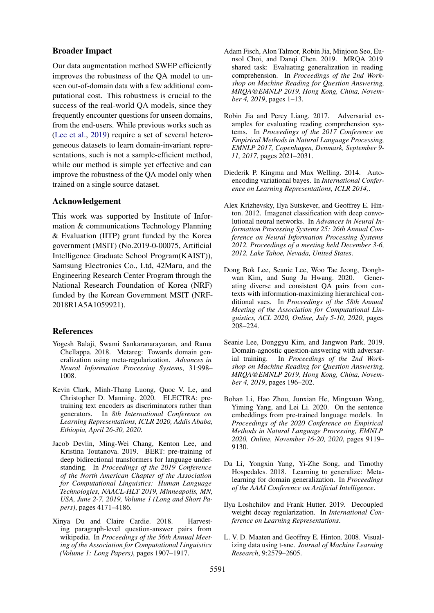### Broader Impact

Our data augmentation method SWEP efficiently improves the robustness of the QA model to unseen out-of-domain data with a few additional computational cost. This robustness is crucial to the success of the real-world QA models, since they frequently encounter questions for unseen domains, from the end-users. While previous works such as [\(Lee et al.,](#page-8-6) [2019\)](#page-8-6) require a set of several heterogeneous datasets to learn domain-invariant representations, such is not a sample-efficient method, while our method is simple yet effective and can improve the robustness of the QA model only when trained on a single source dataset.

### Acknowledgement

This work was supported by Institute of Information & communications Technology Planning & Evaluation (IITP) grant funded by the Korea government (MSIT) (No.2019-0-00075, Artificial Intelligence Graduate School Program(KAIST)), Samsung Electronics Co., Ltd, 42Maru, and the Engineering Research Center Program through the National Research Foundation of Korea (NRF) funded by the Korean Government MSIT (NRF-2018R1A5A1059921).

# References

- <span id="page-8-5"></span>Yogesh Balaji, Swami Sankaranarayanan, and Rama Chellappa. 2018. Metareg: Towards domain generalization using meta-regularization. *Advances in Neural Information Processing Systems*, 31:998– 1008.
- <span id="page-8-9"></span>Kevin Clark, Minh-Thang Luong, Quoc V. Le, and Christopher D. Manning. 2020. ELECTRA: pretraining text encoders as discriminators rather than generators. In *8th International Conference on Learning Representations, ICLR 2020, Addis Ababa, Ethiopia, April 26-30, 2020*.
- <span id="page-8-0"></span>Jacob Devlin, Ming-Wei Chang, Kenton Lee, and Kristina Toutanova. 2019. BERT: pre-training of deep bidirectional transformers for language understanding. In *Proceedings of the 2019 Conference of the North American Chapter of the Association for Computational Linguistics: Human Language Technologies, NAACL-HLT 2019, Minneapolis, MN, USA, June 2-7, 2019, Volume 1 (Long and Short Papers)*, pages 4171–4186.
- <span id="page-8-11"></span>Xinya Du and Claire Cardie. 2018. Harvesting paragraph-level question-answer pairs from wikipedia. In *Proceedings of the 56th Annual Meeting of the Association for Computational Linguistics (Volume 1: Long Papers)*, pages 1907–1917.
- <span id="page-8-8"></span>Adam Fisch, Alon Talmor, Robin Jia, Minjoon Seo, Eunsol Choi, and Danqi Chen. 2019. MRQA 2019 shared task: Evaluating generalization in reading comprehension. In *Proceedings of the 2nd Workshop on Machine Reading for Question Answering, MRQA@EMNLP 2019, Hong Kong, China, November 4, 2019*, pages 1–13.
- <span id="page-8-2"></span>Robin Jia and Percy Liang. 2017. Adversarial examples for evaluating reading comprehension systems. In *Proceedings of the 2017 Conference on Empirical Methods in Natural Language Processing, EMNLP 2017, Copenhagen, Denmark, September 9- 11, 2017*, pages 2021–2031.
- <span id="page-8-7"></span>Diederik P. Kingma and Max Welling. 2014. Autoencoding variational bayes. In *International Conference on Learning Representations, ICLR 2014,*.
- <span id="page-8-1"></span>Alex Krizhevsky, Ilya Sutskever, and Geoffrey E. Hinton. 2012. Imagenet classification with deep convolutional neural networks. In *Advances in Neural Information Processing Systems 25: 26th Annual Conference on Neural Information Processing Systems 2012. Proceedings of a meeting held December 3-6, 2012, Lake Tahoe, Nevada, United States*.
- <span id="page-8-3"></span>Dong Bok Lee, Seanie Lee, Woo Tae Jeong, Donghwan Kim, and Sung Ju Hwang. 2020. Generating diverse and consistent QA pairs from contexts with information-maximizing hierarchical conditional vaes. In *Proceedings of the 58th Annual Meeting of the Association for Computational Linguistics, ACL 2020, Online, July 5-10, 2020*, pages 208–224.
- <span id="page-8-6"></span>Seanie Lee, Donggyu Kim, and Jangwon Park. 2019. Domain-agnostic question-answering with adversarial training. In *Proceedings of the 2nd Workshop on Machine Reading for Question Answering, MRQA@EMNLP 2019, Hong Kong, China, November 4, 2019*, pages 196–202.
- <span id="page-8-12"></span>Bohan Li, Hao Zhou, Junxian He, Mingxuan Wang, Yiming Yang, and Lei Li. 2020. On the sentence embeddings from pre-trained language models. In *Proceedings of the 2020 Conference on Empirical Methods in Natural Language Processing, EMNLP 2020, Online, November 16-20, 2020*, pages 9119– 9130.
- <span id="page-8-4"></span>Da Li, Yongxin Yang, Yi-Zhe Song, and Timothy Hospedales. 2018. Learning to generalize: Metalearning for domain generalization. In *Proceedings of the AAAI Conference on Artificial Intelligence*.
- <span id="page-8-10"></span>Ilya Loshchilov and Frank Hutter. 2019. Decoupled weight decay regularization. In *International Conference on Learning Representations*.
- <span id="page-8-13"></span>L. V. D. Maaten and Geoffrey E. Hinton. 2008. Visualizing data using t-sne. *Journal of Machine Learning Research*, 9:2579–2605.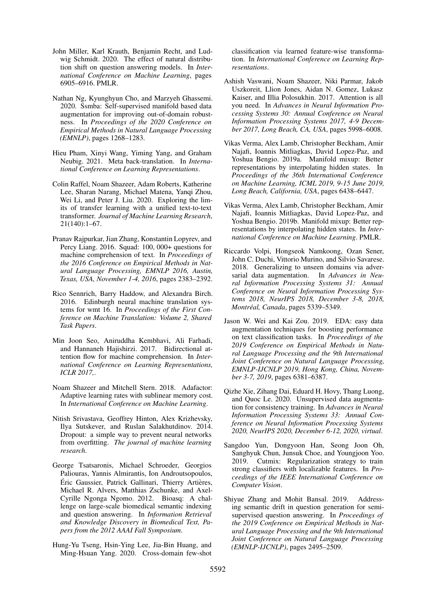- <span id="page-9-10"></span>John Miller, Karl Krauth, Benjamin Recht, and Ludwig Schmidt. 2020. The effect of natural distribution shift on question answering models. In *International Conference on Machine Learning*, pages 6905–6916. PMLR.
- <span id="page-9-7"></span>Nathan Ng, Kyunghyun Cho, and Marzyeh Ghassemi. 2020. Ssmba: Self-supervised manifold based data augmentation for improving out-of-domain robustness. In *Proceedings of the 2020 Conference on Empirical Methods in Natural Language Processing (EMNLP)*, pages 1268–1283.
- <span id="page-9-5"></span>Hieu Pham, Xinyi Wang, Yiming Yang, and Graham Neubig. 2021. Meta back-translation. In *International Conference on Learning Representations*.
- <span id="page-9-17"></span>Colin Raffel, Noam Shazeer, Adam Roberts, Katherine Lee, Sharan Narang, Michael Matena, Yanqi Zhou, Wei Li, and Peter J. Liu. 2020. Exploring the limits of transfer learning with a unified text-to-text transformer. *Journal of Machine Learning Research*, 21(140):1–67.
- <span id="page-9-8"></span>Pranav Rajpurkar, Jian Zhang, Konstantin Lopyrev, and Percy Liang. 2016. Squad: 100, 000+ questions for machine comprehension of text. In *Proceedings of the 2016 Conference on Empirical Methods in Natural Language Processing, EMNLP 2016, Austin, Texas, USA, November 1-4, 2016*, pages 2383–2392.
- <span id="page-9-4"></span>Rico Sennrich, Barry Haddow, and Alexandra Birch. 2016. Edinburgh neural machine translation systems for wmt 16. In *Proceedings of the First Conference on Machine Translation: Volume 2, Shared Task Papers*.
- <span id="page-9-1"></span>Min Joon Seo, Aniruddha Kembhavi, Ali Farhadi, and Hannaneh Hajishirzi. 2017. Bidirectional attention flow for machine comprehension. In *International Conference on Learning Representations, ICLR 2017,*.
- <span id="page-9-18"></span>Noam Shazeer and Mitchell Stern. 2018. Adafactor: Adaptive learning rates with sublinear memory cost. In *International Conference on Machine Learning*.
- <span id="page-9-16"></span>Nitish Srivastava, Geoffrey Hinton, Alex Krizhevsky, Ilya Sutskever, and Ruslan Salakhutdinov. 2014. Dropout: a simple way to prevent neural networks from overfitting. *The journal of machine learning research*.
- <span id="page-9-9"></span>George Tsatsaronis, Michael Schroeder, Georgios Paliouras, Yannis Almirantis, Ion Androutsopoulos, Éric Gaussier, Patrick Gallinari, Thierry Artières, Michael R. Alvers, Matthias Zschunke, and Axel-Cyrille Ngonga Ngomo. 2012. Bioasq: A challenge on large-scale biomedical semantic indexing and question answering. In *Information Retrieval and Knowledge Discovery in Biomedical Text, Papers from the 2012 AAAI Fall Symposium*.
- <span id="page-9-14"></span>Hung-Yu Tseng, Hsin-Ying Lee, Jia-Bin Huang, and Ming-Hsuan Yang. 2020. Cross-domain few-shot

classification via learned feature-wise transformation. In *International Conference on Learning Representations*.

- <span id="page-9-0"></span>Ashish Vaswani, Noam Shazeer, Niki Parmar, Jakob Uszkoreit, Llion Jones, Aidan N. Gomez, Lukasz Kaiser, and Illia Polosukhin. 2017. Attention is all you need. In *Advances in Neural Information Processing Systems 30: Annual Conference on Neural Information Processing Systems 2017, 4-9 December 2017, Long Beach, CA, USA*, pages 5998–6008.
- <span id="page-9-2"></span>Vikas Verma, Alex Lamb, Christopher Beckham, Amir Najafi, Ioannis Mitliagkas, David Lopez-Paz, and Yoshua Bengio. 2019a. Manifold mixup: Better representations by interpolating hidden states. In *Proceedings of the 36th International Conference on Machine Learning, ICML 2019, 9-15 June 2019, Long Beach, California, USA*, pages 6438–6447.
- <span id="page-9-15"></span>Vikas Verma, Alex Lamb, Christopher Beckham, Amir Najafi, Ioannis Mitliagkas, David Lopez-Paz, and Yoshua Bengio. 2019b. Manifold mixup: Better representations by interpolating hidden states. In *International Conference on Machine Learning*. PMLR.
- <span id="page-9-11"></span>Riccardo Volpi, Hongseok Namkoong, Ozan Sener, John C. Duchi, Vittorio Murino, and Silvio Savarese. 2018. Generalizing to unseen domains via adversarial data augmentation. In *Advances in Neural Information Processing Systems 31: Annual Conference on Neural Information Processing Systems 2018, NeurIPS 2018, December 3-8, 2018, Montreal, Canada ´* , pages 5339–5349.
- <span id="page-9-6"></span>Jason W. Wei and Kai Zou. 2019. EDA: easy data augmentation techniques for boosting performance on text classification tasks. In *Proceedings of the 2019 Conference on Empirical Methods in Natural Language Processing and the 9th International Joint Conference on Natural Language Processing, EMNLP-IJCNLP 2019, Hong Kong, China, November 3-7, 2019*, pages 6381–6387.
- <span id="page-9-12"></span>Qizhe Xie, Zihang Dai, Eduard H. Hovy, Thang Luong, and Quoc Le. 2020. Unsupervised data augmentation for consistency training. In *Advances in Neural Information Processing Systems 33: Annual Conference on Neural Information Processing Systems 2020, NeurIPS 2020, December 6-12, 2020, virtual*.
- <span id="page-9-3"></span>Sangdoo Yun, Dongyoon Han, Seong Joon Oh, Sanghyuk Chun, Junsuk Choe, and Youngjoon Yoo. 2019. Cutmix: Regularization strategy to train strong classifiers with localizable features. In *Proceedings of the IEEE International Conference on Computer Vision*.
- <span id="page-9-13"></span>Shiyue Zhang and Mohit Bansal. 2019. Addressing semantic drift in question generation for semisupervised question answering. In *Proceedings of the 2019 Conference on Empirical Methods in Natural Language Processing and the 9th International Joint Conference on Natural Language Processing (EMNLP-IJCNLP)*, pages 2495–2509.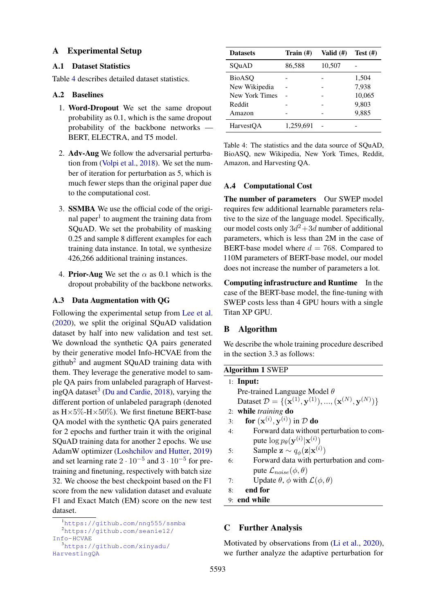### A Experimental Setup

## A.1 Dataset Statistics

Table [4](#page-10-0) describes detailed dataset statistics.

## A.2 Baselines

- 1. Word-Dropout We set the same dropout probability as 0.1, which is the same dropout probability of the backbone networks — BERT, ELECTRA, and T5 model.
- 2. Adv-Aug We follow the adversarial perturbation from [\(Volpi et al.,](#page-9-11) [2018\)](#page-9-11). We set the number of iteration for perturbation as 5, which is much fewer steps than the original paper due to the computational cost.
- 3. SSMBA We use the official code of the origi-nal paper<sup>[1](#page-10-1)</sup> to augment the training data from SQuAD. We set the probability of masking 0.25 and sample 8 different examples for each training data instance. In total, we synthesize 426,266 additional training instances.
- 4. **Prior-Aug** We set the  $\alpha$  as 0.1 which is the dropout probability of the backbone networks.

### A.3 Data Augmentation with QG

Following the experimental setup from [Lee et al.](#page-8-3) [\(2020\)](#page-8-3), we split the original SQuAD validation dataset by half into new validation and test set. We download the synthetic QA pairs generated by their generative model Info-HCVAE from the github<sup>[2](#page-10-2)</sup> and augment SQuAD training data with them. They leverage the generative model to sample QA pairs from unlabeled paragraph of Harvest-ingQA dataset<sup>[3](#page-10-3)</sup> [\(Du and Cardie,](#page-8-11) [2018\)](#page-8-11), varying the different portion of unlabeled paragraph (denoted as  $H \times 5\%$ - $H \times 50\%$ ). We first finetune BERT-base QA model with the synthetic QA pairs generated for 2 epochs and further train it with the original SQuAD training data for another 2 epochs. We use AdamW optimizer [\(Loshchilov and Hutter,](#page-8-10) [2019\)](#page-8-10) and set learning rate  $2 \cdot 10^{-5}$  and  $3 \cdot 10^{-5}$  for pretraining and finetuning, respectively with batch size 32. We choose the best checkpoint based on the F1 score from the new validation dataset and evaluate F1 and Exact Match (EM) score on the new test dataset.

<span id="page-10-0"></span>

| <b>Datasets</b> | Train $(\#)$ | Valid $(\#)$ | Test $(\#)$ |
|-----------------|--------------|--------------|-------------|
| SOuAD           | 86,588       | 10,507       |             |
| <b>BioASO</b>   |              |              | 1,504       |
| New Wikipedia   |              |              | 7,938       |
| New York Times  |              |              | 10,065      |
| Reddit          |              |              | 9,803       |
| Amazon          |              |              | 9,885       |
| HarvestOA       | 1,259,691    |              |             |

Table 4: The statistics and the data source of SQuAD, BioASQ, new Wikipedia, New York Times, Reddit, Amazon, and Harvesting QA.

### A.4 Computational Cost

The number of parameters Our SWEP model requires few additional learnable parameters relative to the size of the language model. Specifically, our model costs only  $3d^2+3d$  number of additional parameters, which is less than 2M in the case of BERT-base model where  $d = 768$ . Compared to 110M parameters of BERT-base model, our model does not increase the number of parameters a lot.

Computing infrastructure and Runtime In the case of the BERT-base model, the fine-tuning with SWEP costs less than 4 GPU hours with a single Titan XP GPU.

# B Algorithm

We describe the whole training procedure described in the section 3.3 as follows:

|    | <b>Algorithm 1 SWEP</b>                                                                                  |
|----|----------------------------------------------------------------------------------------------------------|
|    | $1:$ Input:                                                                                              |
|    | Pre-trained Language Model $\theta$                                                                      |
|    | Dataset $\mathcal{D} = \{(\mathbf{x}^{(1)}, \mathbf{y}^{(1)}), , (\mathbf{x}^{(N)}, \mathbf{y}^{(N)})\}$ |
|    | 2: while <i>training</i> do                                                                              |
| 3: | for $(\mathbf{x}^{(i)}, \mathbf{y}^{(i)})$ in $\mathcal{D}$ do                                           |
| 4: | Forward data without perturbation to com-                                                                |
|    | pute $\log p_{\theta}(\mathbf{y}^{(i)} \mathbf{x}^{(i)})$                                                |
| 5: | Sample $\mathbf{z} \sim q_{\phi}(\mathbf{z} \mathbf{x}^{(i)})$                                           |
| 6: | Forward data with perturbation and com-                                                                  |
|    | pute $\mathcal{L}_{noise}(\phi, \theta)$                                                                 |
| 7: | Update $\theta$ , $\phi$ with $\mathcal{L}(\phi, \theta)$                                                |
| 8: | end for                                                                                                  |

```
9: end while
```
# C Further Analysis

Motivated by observations from [\(Li et al.,](#page-8-12) [2020\)](#page-8-12), we further analyze the adaptive perturbation for

<span id="page-10-2"></span><span id="page-10-1"></span><sup>1</sup><https://github.com/nng555/ssmba> <sup>2</sup>[https://github.com/seanie12/](https://github.com/seanie12/Info-HCVAE) [Info-HCVAE](https://github.com/seanie12/Info-HCVAE) <sup>3</sup>[https://github.com/xinyadu/](https://github.com/xinyadu/HarvestingQA)

<span id="page-10-3"></span>[HarvestingQA](https://github.com/xinyadu/HarvestingQA)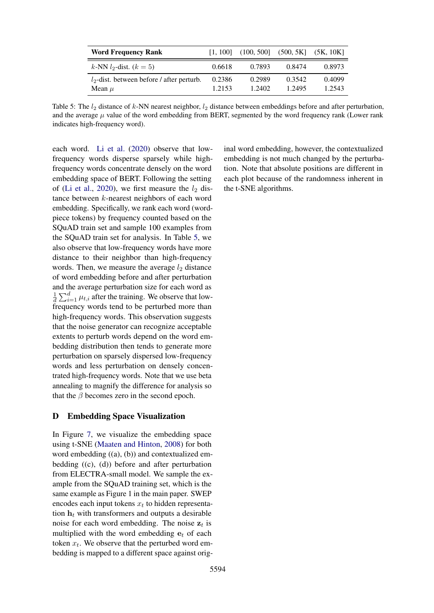<span id="page-11-0"></span>

| <b>Word Frequency Rank</b>                                 | <b>11.1001</b>   | (100, 500]       | (500, 5K]        | (5K, 10K)        |
|------------------------------------------------------------|------------------|------------------|------------------|------------------|
| k-NN $l_2$ -dist. $(k = 5)$                                | 0.6618           | 0.7893           | 0.8474           | 0.8973           |
| $l_2$ -dist. between before / after perturb.<br>Mean $\mu$ | 0.2386<br>1.2153 | 0.2989<br>1.2402 | 0.3542<br>1.2495 | 0.4099<br>1.2543 |

Table 5: The  $l_2$  distance of k-NN nearest neighbor,  $l_2$  distance between embeddings before and after perturbation, and the average  $\mu$  value of the word embedding from BERT, segmented by the word frequency rank (Lower rank indicates high-frequency word).

each word. [Li et al.](#page-8-12) [\(2020\)](#page-8-12) observe that lowfrequency words disperse sparsely while highfrequency words concentrate densely on the word embedding space of BERT. Following the setting of [\(Li et al.,](#page-8-12) [2020\)](#page-8-12), we first measure the  $l_2$  distance between k-nearest neighbors of each word embedding. Specifically, we rank each word (wordpiece tokens) by frequency counted based on the SQuAD train set and sample 100 examples from the SQuAD train set for analysis. In Table [5,](#page-11-0) we also observe that low-frequency words have more distance to their neighbor than high-frequency words. Then, we measure the average  $l_2$  distance of word embedding before and after perturbation and the average perturbation size for each word as 1  $\frac{1}{d} \sum_{i=1}^{d} \mu_{t,i}$  after the training. We observe that lowfrequency words tend to be perturbed more than high-frequency words. This observation suggests that the noise generator can recognize acceptable extents to perturb words depend on the word embedding distribution then tends to generate more perturbation on sparsely dispersed low-frequency words and less perturbation on densely concentrated high-frequency words. Note that we use beta annealing to magnify the difference for analysis so that the  $\beta$  becomes zero in the second epoch.

### D Embedding Space Visualization

In Figure [7,](#page-12-0) we visualize the embedding space using t-SNE [\(Maaten and Hinton,](#page-8-13) [2008\)](#page-8-13) for both word embedding ((a), (b)) and contextualized embedding ((c), (d)) before and after perturbation from ELECTRA-small model. We sample the example from the SQuAD training set, which is the same example as Figure 1 in the main paper. SWEP encodes each input tokens  $x_t$  to hidden representation  $h_t$  with transformers and outputs a desirable noise for each word embedding. The noise  $z_t$  is multiplied with the word embedding  $e_t$  of each token  $x_t$ . We observe that the perturbed word embedding is mapped to a different space against orig-

inal word embedding, however, the contextualized embedding is not much changed by the perturbation. Note that absolute positions are different in each plot because of the randomness inherent in the t-SNE algorithms.